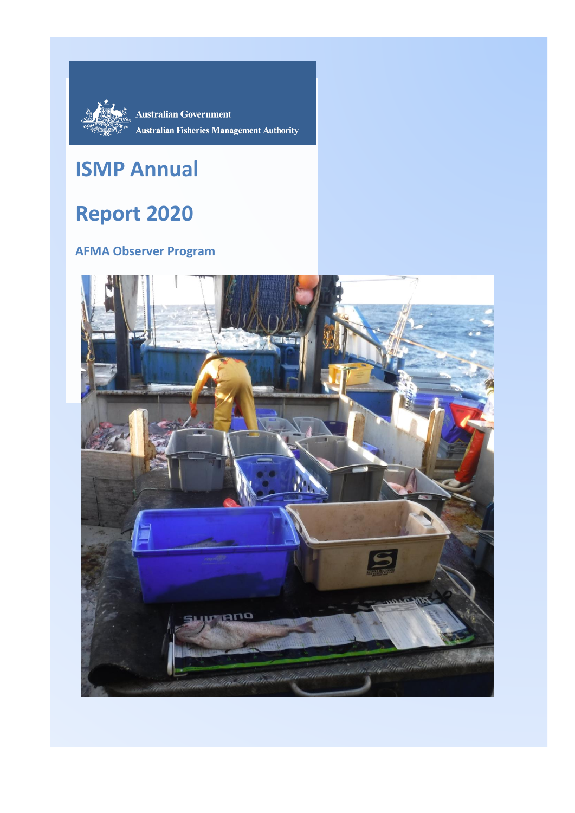

**Australian Government Australian Fisheries Management Authority** 

# **ISMP Annual**

# **Report 2020**

### **AFMA Observer Program**

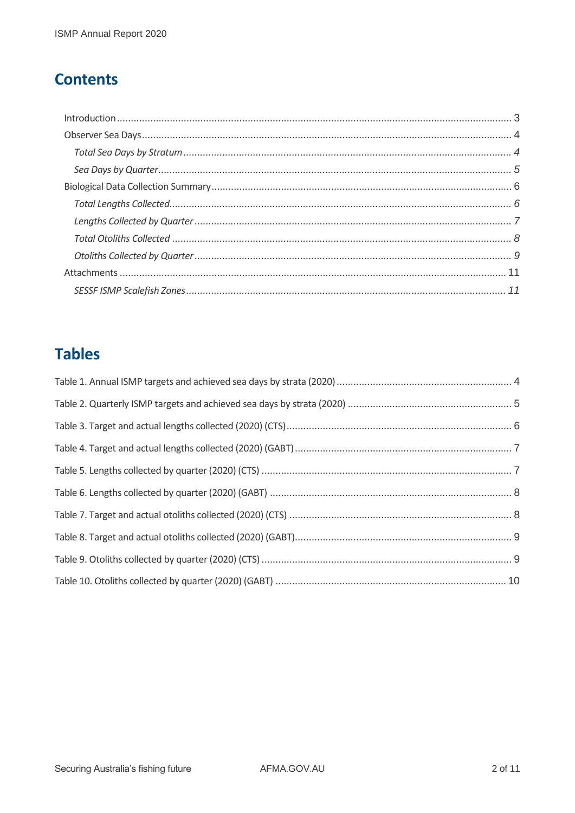### **Contents**

### **Tables**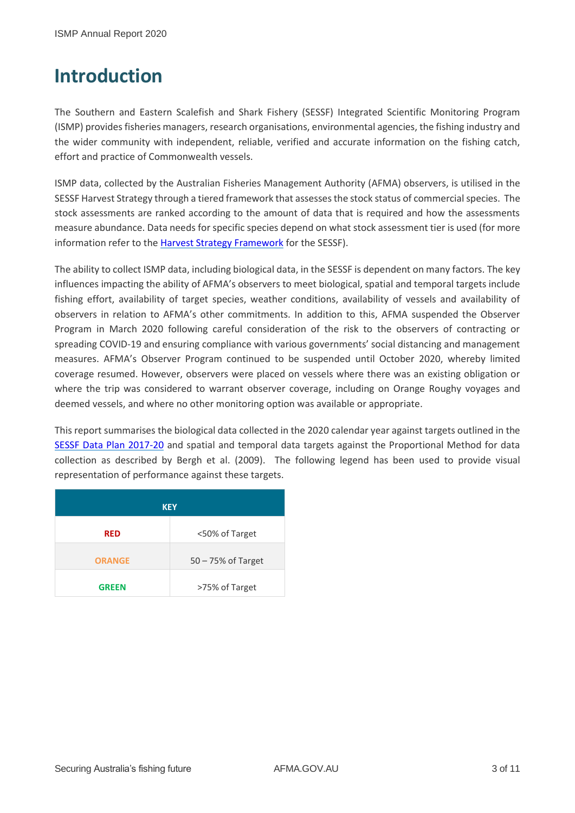## <span id="page-2-0"></span>**Introduction**

The Southern and Eastern Scalefish and Shark Fishery (SESSF) Integrated Scientific Monitoring Program (ISMP) provides fisheries managers, research organisations, environmental agencies, the fishing industry and the wider community with independent, reliable, verified and accurate information on the fishing catch, effort and practice of Commonwealth vessels.

ISMP data, collected by the Australian Fisheries Management Authority (AFMA) observers, is utilised in the SESSF Harvest Strategy through a tiered framework that assessesthe stock status of commercial species. The stock assessments are ranked according to the amount of data that is required and how the assessments measure abundance. Data needs for specific species depend on what stock assessment tier is used (for more information refer to the [Harvest Strategy Framework](https://afma.govcms.gov.au/sites/default/files/sessf_harvest_strategy_framework_2019_amendment.pdf) for the SESSF).

The ability to collect ISMP data, including biological data, in the SESSF is dependent on many factors. The key influences impacting the ability of AFMA's observers to meet biological, spatial and temporal targets include fishing effort, availability of target species, weather conditions, availability of vessels and availability of observers in relation to AFMA's other commitments. In addition to this, AFMA suspended the Observer Program in March 2020 following careful consideration of the risk to the observers of contracting or spreading COVID-19 and ensuring compliance with various governments' social distancing and management measures. AFMA's Observer Program continued to be suspended until October 2020, whereby limited coverage resumed. However, observers were placed on vessels where there was an existing obligation or where the trip was considered to warrant observer coverage, including on Orange Roughy voyages and deemed vessels, and where no other monitoring option was available or appropriate.

This report summarises the biological data collected in the 2020 calendar year against targets outlined in the [SESSF Data Plan 2017-20](https://afma.govcms.gov.au/sites/default/files/sessf-data-plan-2017-20.pdf?acsf_files_redirect) and spatial and temporal data targets against the Proportional Method for data collection as described by Bergh et al. (2009). The following legend has been used to provide visual representation of performance against these targets.

| <b>KEY</b>    |                    |  |  |  |  |  |  |
|---------------|--------------------|--|--|--|--|--|--|
| <b>RED</b>    | <50% of Target     |  |  |  |  |  |  |
| <b>ORANGE</b> | 50 - 75% of Target |  |  |  |  |  |  |
| GREEN         | >75% of Target     |  |  |  |  |  |  |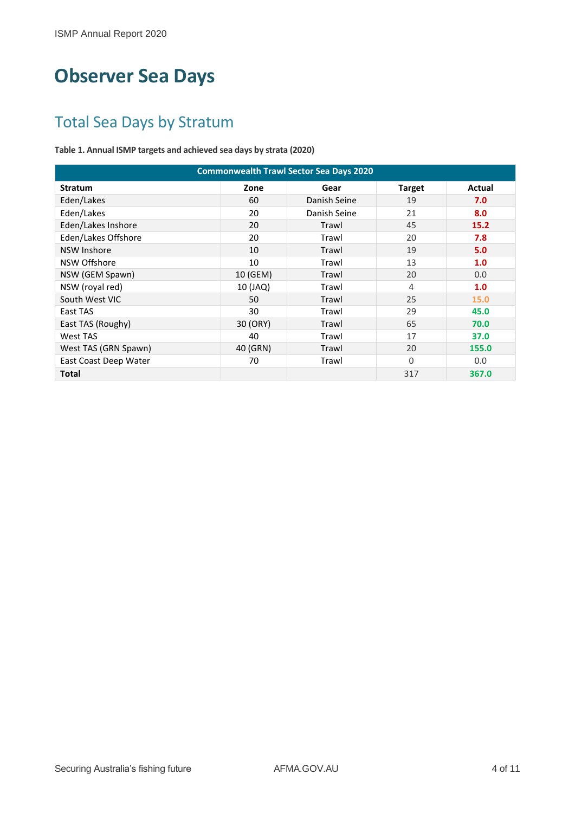## <span id="page-3-0"></span>**Observer Sea Days**

### <span id="page-3-1"></span>Total Sea Days by Stratum

<span id="page-3-2"></span>**Table 1. Annual ISMP targets and achieved sea days by strata (2020)**

| <b>Commonwealth Trawl Sector Sea Days 2020</b> |          |              |               |        |  |  |  |  |  |
|------------------------------------------------|----------|--------------|---------------|--------|--|--|--|--|--|
| <b>Stratum</b>                                 | Zone     | Gear         | <b>Target</b> | Actual |  |  |  |  |  |
| Eden/Lakes                                     | 60       | Danish Seine | 19            | 7.0    |  |  |  |  |  |
| Eden/Lakes                                     | 20       | Danish Seine | 21            | 8.0    |  |  |  |  |  |
| Eden/Lakes Inshore                             | 20       | Trawl        | 45            | 15.2   |  |  |  |  |  |
| Eden/Lakes Offshore                            | 20       | Trawl        | 20            | 7.8    |  |  |  |  |  |
| <b>NSW Inshore</b>                             | 10       | Trawl        | 19            | 5.0    |  |  |  |  |  |
| NSW Offshore                                   | 10       | Trawl        | 13            | 1.0    |  |  |  |  |  |
| NSW (GEM Spawn)                                | 10 (GEM) | Trawl        | 20            | 0.0    |  |  |  |  |  |
| NSW (royal red)                                | 10 (JAQ) | Trawl        | 4             | 1.0    |  |  |  |  |  |
| South West VIC                                 | 50       | Trawl        | 25            | 15.0   |  |  |  |  |  |
| East TAS                                       | 30       | Trawl        | 29            | 45.0   |  |  |  |  |  |
| East TAS (Roughy)                              | 30 (ORY) | Trawl        | 65            | 70.0   |  |  |  |  |  |
| West TAS                                       | 40       | Trawl        | 17            | 37.0   |  |  |  |  |  |
| West TAS (GRN Spawn)                           | 40 (GRN) | Trawl        | 20            | 155.0  |  |  |  |  |  |
| East Coast Deep Water                          | 70       | Trawl        | $\Omega$      | 0.0    |  |  |  |  |  |
| <b>Total</b>                                   |          |              | 317           | 367.0  |  |  |  |  |  |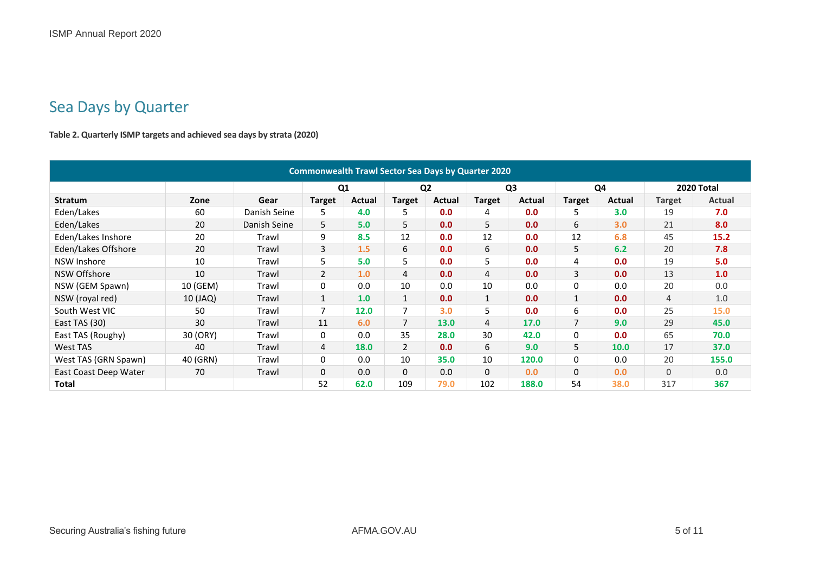### Sea Days by Quarter

**Table 2. Quarterly ISMP targets and achieved sea days by strata (2020)**

<span id="page-4-1"></span><span id="page-4-0"></span>

| <b>Commonwealth Trawl Sector Sea Days by Quarter 2020</b> |          |              |                |        |                |                |               |                |                |                |                |               |
|-----------------------------------------------------------|----------|--------------|----------------|--------|----------------|----------------|---------------|----------------|----------------|----------------|----------------|---------------|
|                                                           |          |              | Q <sub>1</sub> |        |                | Q <sub>2</sub> |               | Q <sub>3</sub> |                | Q <sub>4</sub> |                | 2020 Total    |
| <b>Stratum</b>                                            | Zone     | Gear         | <b>Target</b>  | Actual | Target         | Actual         | <b>Target</b> | Actual         | <b>Target</b>  | Actual         | <b>Target</b>  | <b>Actual</b> |
| Eden/Lakes                                                | 60       | Danish Seine | 5              | 4.0    | 5              | 0.0            | 4             | 0.0            | 5.             | 3.0            | 19             | 7.0           |
| Eden/Lakes                                                | 20       | Danish Seine | 5              | 5.0    | 5              | 0.0            | 5             | 0.0            | 6              | 3.0            | 21             | 8.0           |
| Eden/Lakes Inshore                                        | 20       | Trawl        | 9              | 8.5    | 12             | 0.0            | 12            | 0.0            | 12             | 6.8            | 45             | 15.2          |
| Eden/Lakes Offshore                                       | 20       | Trawl        | 3              | 1.5    | 6              | 0.0            | 6             | 0.0            | 5              | 6.2            | 20             | 7.8           |
| NSW Inshore                                               | 10       | Trawl        | 5              | 5.0    | 5              | 0.0            | 5             | 0.0            | 4              | 0.0            | 19             | 5.0           |
| NSW Offshore                                              | 10       | Trawl        | $\overline{2}$ | 1.0    | 4              | 0.0            | 4             | 0.0            | 3              | 0.0            | 13             | 1.0           |
| NSW (GEM Spawn)                                           | 10 (GEM) | Trawl        | 0              | 0.0    | 10             | 0.0            | 10            | 0.0            | 0              | 0.0            | 20             | 0.0           |
| NSW (royal red)                                           | 10 (JAQ) | Trawl        | $\mathbf{1}$   | 1.0    | $\mathbf{1}$   | 0.0            | $\mathbf{1}$  | 0.0            | 1              | 0.0            | $\overline{4}$ | 1.0           |
| South West VIC                                            | 50       | Trawl        | $\overline{7}$ | 12.0   | 7              | 3.0            | 5             | 0.0            | 6              | 0.0            | 25             | 15.0          |
| East TAS (30)                                             | 30       | Trawl        | 11             | 6.0    | $\overline{7}$ | 13.0           | 4             | 17.0           | $\overline{7}$ | 9.0            | 29             | 45.0          |
| East TAS (Roughy)                                         | 30 (ORY) | Trawl        | 0              | 0.0    | 35             | 28.0           | 30            | 42.0           | 0              | 0.0            | 65             | 70.0          |
| West TAS                                                  | 40       | Trawl        | $\overline{4}$ | 18.0   | $\overline{2}$ | 0.0            | 6             | 9.0            | 5              | 10.0           | 17             | 37.0          |
| West TAS (GRN Spawn)                                      | 40 (GRN) | Trawl        | 0              | 0.0    | 10             | 35.0           | 10            | 120.0          | 0              | 0.0            | 20             | 155.0         |
| East Coast Deep Water                                     | 70       | Trawl        | 0              | 0.0    | $\Omega$       | 0.0            | 0             | 0.0            | 0              | 0.0            | $\mathbf{0}$   | 0.0           |
| <b>Total</b>                                              |          |              | 52             | 62.0   | 109            | 79.0           | 102           | 188.0          | 54             | 38.0           | 317            | 367           |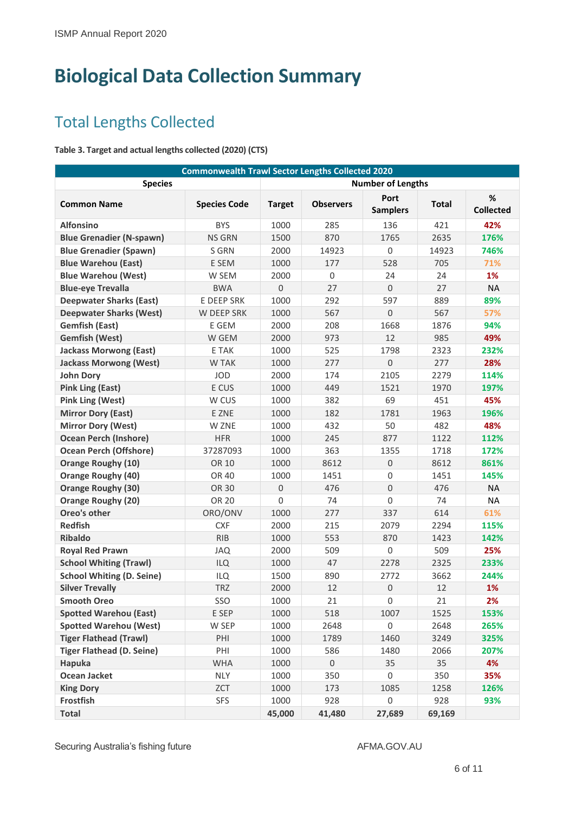## <span id="page-5-0"></span>**Biological Data Collection Summary**

### <span id="page-5-1"></span>Total Lengths Collected

#### <span id="page-5-2"></span>**Table 3. Target and actual lengths collected (2020) (CTS)**

| <b>Commonwealth Trawl Sector Lengths Collected 2020</b> |                     |               |                     |                          |        |                          |  |  |
|---------------------------------------------------------|---------------------|---------------|---------------------|--------------------------|--------|--------------------------|--|--|
| <b>Species</b>                                          |                     |               |                     | <b>Number of Lengths</b> |        |                          |  |  |
| <b>Common Name</b>                                      | <b>Species Code</b> | <b>Target</b> | <b>Observers</b>    | Port<br><b>Samplers</b>  | Total  | $\%$<br><b>Collected</b> |  |  |
| <b>Alfonsino</b>                                        | <b>BYS</b>          | 1000          | 285                 | 136                      | 421    | 42%                      |  |  |
| <b>Blue Grenadier (N-spawn)</b>                         | <b>NS GRN</b>       | 1500          | 870                 | 1765                     | 2635   | 176%                     |  |  |
| <b>Blue Grenadier (Spawn)</b>                           | S GRN               | 2000          | 14923               | $\mathbf 0$              | 14923  | 746%                     |  |  |
| <b>Blue Warehou (East)</b>                              | E SEM               | 1000          | 177                 | 528                      | 705    | 71%                      |  |  |
| <b>Blue Warehou (West)</b>                              | W SEM               | 2000          | $\Omega$            | 24                       | 24     | 1%                       |  |  |
| <b>Blue-eye Trevalla</b>                                | <b>BWA</b>          | 0             | 27                  | $\overline{0}$           | 27     | <b>NA</b>                |  |  |
| <b>Deepwater Sharks (East)</b>                          | <b>E DEEP SRK</b>   | 1000          | 292                 | 597                      | 889    | 89%                      |  |  |
| <b>Deepwater Sharks (West)</b>                          | W DEEP SRK          | 1000          | 567                 | 0                        | 567    | 57%                      |  |  |
| <b>Gemfish (East)</b>                                   | E GEM               | 2000          | 208                 | 1668                     | 1876   | 94%                      |  |  |
| <b>Gemfish (West)</b>                                   | W GEM               | 2000          | 973                 | 12                       | 985    | 49%                      |  |  |
| <b>Jackass Morwong (East)</b>                           | E TAK               | 1000          | 525                 | 1798                     | 2323   | 232%                     |  |  |
| <b>Jackass Morwong (West)</b>                           | <b>W TAK</b>        | 1000          | 277                 | $\mathbf 0$              | 277    | 28%                      |  |  |
| <b>John Dory</b>                                        | <b>JOD</b>          | 2000          | 174                 | 2105                     | 2279   | 114%                     |  |  |
| <b>Pink Ling (East)</b>                                 | E CUS               | 1000          | 449                 | 1521                     | 1970   | 197%                     |  |  |
| <b>Pink Ling (West)</b>                                 | W CUS               | 1000          | 382                 | 69                       | 451    | 45%                      |  |  |
| <b>Mirror Dory (East)</b>                               | E ZNE               | 1000          | 182                 | 1781                     | 1963   | 196%                     |  |  |
| <b>Mirror Dory (West)</b>                               | W ZNE               | 1000          | 432                 | 50                       | 482    | 48%                      |  |  |
| <b>Ocean Perch (Inshore)</b>                            | <b>HFR</b>          | 1000          | 245                 | 877                      | 1122   | 112%                     |  |  |
| <b>Ocean Perch (Offshore)</b>                           | 37287093            | 1000          | 363                 | 1355                     | 1718   | 172%                     |  |  |
| <b>Orange Roughy (10)</b>                               | OR 10               | 1000          | 8612                | 0                        | 8612   | 861%                     |  |  |
| <b>Orange Roughy (40)</b>                               | OR 40               | 1000          | 1451                | 0                        | 1451   | 145%                     |  |  |
| <b>Orange Roughy (30)</b>                               | OR 30               | 0             | 476                 | $\mathsf 0$              | 476    | <b>NA</b>                |  |  |
| <b>Orange Roughy (20)</b>                               | <b>OR 20</b>        | 0             | 74                  | 0                        | 74     | <b>NA</b>                |  |  |
| Oreo's other                                            | ORO/ONV             | 1000          | 277                 | 337                      | 614    | 61%                      |  |  |
| <b>Redfish</b>                                          | <b>CXF</b>          | 2000          | 215                 | 2079                     | 2294   | 115%                     |  |  |
| <b>Ribaldo</b>                                          | <b>RIB</b>          | 1000          | 553                 | 870                      | 1423   | 142%                     |  |  |
| <b>Royal Red Prawn</b>                                  | JAQ                 | 2000          | 509                 | 0                        | 509    | 25%                      |  |  |
| <b>School Whiting (Trawl)</b>                           | <b>ILQ</b>          | 1000          | 47                  | 2278                     | 2325   | 233%                     |  |  |
| <b>School Whiting (D. Seine)</b>                        | <b>ILQ</b>          | 1500          | 890                 | 2772                     | 3662   | 244%                     |  |  |
| <b>Silver Trevally</b>                                  | <b>TRZ</b>          | 2000          | 12                  | 0                        | 12     | 1%                       |  |  |
| <b>Smooth Oreo</b>                                      | SSO                 | 1000          | 21                  | 0                        | 21     | 2%                       |  |  |
| <b>Spotted Warehou (East)</b>                           | E SEP               | 1000          | 518                 | 1007                     | 1525   | 153%                     |  |  |
| <b>Spotted Warehou (West)</b>                           | W SEP               | 1000          | 2648                | $\,0\,$                  | 2648   | 265%                     |  |  |
| <b>Tiger Flathead (Trawl)</b>                           | PHI                 | 1000          | 1789                | 1460                     | 3249   | 325%                     |  |  |
| <b>Tiger Flathead (D. Seine)</b>                        | PHI                 | 1000          | 586                 | 1480                     | 2066   | 207%                     |  |  |
| Hapuka                                                  | <b>WHA</b>          | 1000          | $\mathsf{O}\xspace$ | 35                       | 35     | 4%                       |  |  |
| Ocean Jacket                                            | <b>NLY</b>          | 1000          | 350                 | 0                        | 350    | 35%                      |  |  |
| <b>King Dory</b>                                        | ZCT                 | 1000          | 173                 | 1085                     | 1258   | 126%                     |  |  |
| Frostfish                                               | <b>SFS</b>          | 1000          | 928                 | $\,0\,$                  | 928    | 93%                      |  |  |
| <b>Total</b>                                            |                     | 45,000        | 41,480              | 27,689                   | 69,169 |                          |  |  |

Securing Australia's fishing future AFMA.GOV.AU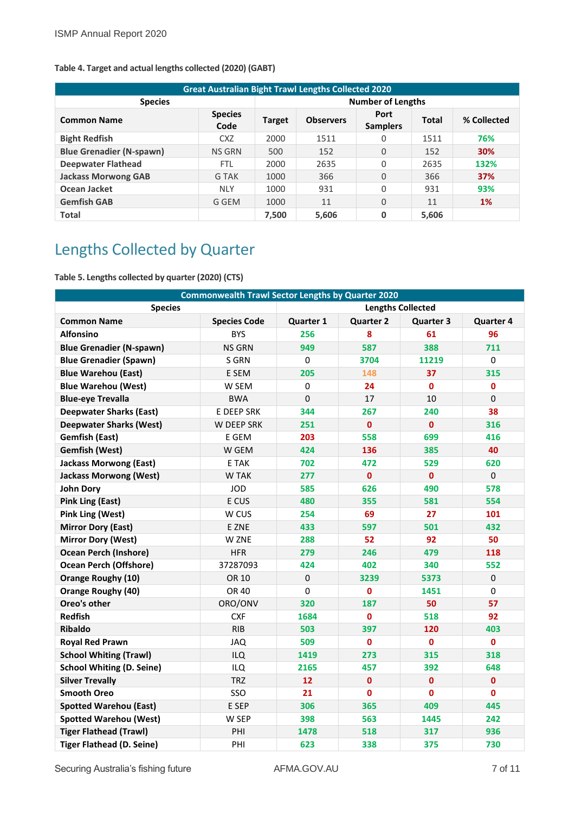| <b>Great Australian Bight Trawl Lengths Collected 2020</b> |                        |                          |                  |                         |              |             |  |  |  |
|------------------------------------------------------------|------------------------|--------------------------|------------------|-------------------------|--------------|-------------|--|--|--|
| <b>Species</b>                                             |                        | <b>Number of Lengths</b> |                  |                         |              |             |  |  |  |
| <b>Common Name</b>                                         | <b>Species</b><br>Code | <b>Target</b>            | <b>Observers</b> | Port<br><b>Samplers</b> | <b>Total</b> | % Collected |  |  |  |
| <b>Bight Redfish</b>                                       | CXZ                    | 2000                     | 1511             | 0                       | 1511         | 76%         |  |  |  |
| <b>Blue Grenadier (N-spawn)</b>                            | <b>NS GRN</b>          | 500                      | 152              | $\Omega$                | 152          | 30%         |  |  |  |
| <b>Deepwater Flathead</b>                                  | <b>FTL</b>             | 2000                     | 2635             | 0                       | 2635         | 132%        |  |  |  |
| <b>Jackass Morwong GAB</b>                                 | G TAK                  | 1000                     | 366              | 0                       | 366          | 37%         |  |  |  |
| Ocean Jacket                                               | <b>NLY</b>             | 1000                     | 931              | 0                       | 931          | 93%         |  |  |  |
| <b>Gemfish GAB</b>                                         | G GEM                  | 1000                     | 11               | $\Omega$                | 11           | 1%          |  |  |  |
| <b>Total</b>                                               |                        | 7.500                    | 5.606            | 0                       | 5.606        |             |  |  |  |

#### <span id="page-6-1"></span>**Table 4. Target and actual lengths collected (2020) (GABT)**

### <span id="page-6-0"></span>Lengths Collected by Quarter

<span id="page-6-2"></span>**Table 5. Lengths collected by quarter (2020) (CTS)**

| <b>Commonwealth Trawl Sector Lengths by Quarter 2020</b> |                     |                          |                  |                  |                  |  |  |  |
|----------------------------------------------------------|---------------------|--------------------------|------------------|------------------|------------------|--|--|--|
| <b>Species</b>                                           |                     | <b>Lengths Collected</b> |                  |                  |                  |  |  |  |
| <b>Common Name</b>                                       | <b>Species Code</b> | Quarter 1                | <b>Quarter 2</b> | <b>Quarter 3</b> | <b>Quarter 4</b> |  |  |  |
| <b>Alfonsino</b>                                         | <b>BYS</b>          | 256                      | 8                | 61               | 96               |  |  |  |
| <b>Blue Grenadier (N-spawn)</b>                          | <b>NS GRN</b>       | 949                      | 587              | 388              | 711              |  |  |  |
| <b>Blue Grenadier (Spawn)</b>                            | S GRN               | 0                        | 3704             | 11219            | $\Omega$         |  |  |  |
| <b>Blue Warehou (East)</b>                               | E SEM               | 205                      | 148              | 37               | 315              |  |  |  |
| <b>Blue Warehou (West)</b>                               | W SEM               | 0                        | 24               | $\mathbf 0$      | 0                |  |  |  |
| <b>Blue-eye Trevalla</b>                                 | <b>BWA</b>          | 0                        | 17               | 10               | $\Omega$         |  |  |  |
| <b>Deepwater Sharks (East)</b>                           | E DEEP SRK          | 344                      | 267              | 240              | 38               |  |  |  |
| <b>Deepwater Sharks (West)</b>                           | W DEEP SRK          | 251                      | $\mathbf{0}$     | $\mathbf{0}$     | 316              |  |  |  |
| <b>Gemfish (East)</b>                                    | E GEM               | 203                      | 558              | 699              | 416              |  |  |  |
| <b>Gemfish (West)</b>                                    | W GEM               | 424                      | 136              | 385              | 40               |  |  |  |
| <b>Jackass Morwong (East)</b>                            | E TAK               | 702                      | 472              | 529              | 620              |  |  |  |
| <b>Jackass Morwong (West)</b>                            | W TAK               | 277                      | $\mathbf{0}$     | $\mathbf{0}$     | $\mathbf 0$      |  |  |  |
| <b>John Dory</b>                                         | <b>JOD</b>          | 585                      | 626              | 490              | 578              |  |  |  |
| <b>Pink Ling (East)</b>                                  | E CUS               | 480                      | 355              | 581              | 554              |  |  |  |
| <b>Pink Ling (West)</b>                                  | W CUS               | 254                      | 69               | 27               | 101              |  |  |  |
| <b>Mirror Dory (East)</b>                                | E ZNE               | 433                      | 597              | 501              | 432              |  |  |  |
| <b>Mirror Dory (West)</b>                                | W ZNE               | 288                      | 52               | 92               | 50               |  |  |  |
| <b>Ocean Perch (Inshore)</b>                             | <b>HFR</b>          | 279                      | 246              | 479              | 118              |  |  |  |
| <b>Ocean Perch (Offshore)</b>                            | 37287093            | 424                      | 402              | 340              | 552              |  |  |  |
| <b>Orange Roughy (10)</b>                                | OR 10               | 0                        | 3239             | 5373             | 0                |  |  |  |
| <b>Orange Roughy (40)</b>                                | OR 40               | 0                        | 0                | 1451             | $\Omega$         |  |  |  |
| Oreo's other                                             | ORO/ONV             | 320                      | 187              | 50               | 57               |  |  |  |
| <b>Redfish</b>                                           | <b>CXF</b>          | 1684                     | $\mathbf{0}$     | 518              | 92               |  |  |  |
| <b>Ribaldo</b>                                           | <b>RIB</b>          | 503                      | 397              | 120              | 403              |  |  |  |
| <b>Royal Red Prawn</b>                                   | JAQ                 | 509                      | 0                | $\mathbf{0}$     | $\mathbf 0$      |  |  |  |
| <b>School Whiting (Trawl)</b>                            | <b>ILQ</b>          | 1419                     | 273              | 315              | 318              |  |  |  |
| <b>School Whiting (D. Seine)</b>                         | <b>ILQ</b>          | 2165                     | 457              | 392              | 648              |  |  |  |
| <b>Silver Trevally</b>                                   | <b>TRZ</b>          | 12                       | $\mathbf{0}$     | $\mathbf{0}$     | $\mathbf{0}$     |  |  |  |
| <b>Smooth Oreo</b>                                       | SSO                 | 21                       | O                | $\mathbf{0}$     | $\mathbf{0}$     |  |  |  |
| <b>Spotted Warehou (East)</b>                            | E SEP               | 306                      | 365              | 409              | 445              |  |  |  |
| <b>Spotted Warehou (West)</b>                            | W SEP               | 398                      | 563              | 1445             | 242              |  |  |  |
| <b>Tiger Flathead (Trawl)</b>                            | PHI                 | 1478                     | 518              | 317              | 936              |  |  |  |
| <b>Tiger Flathead (D. Seine)</b>                         | PHI                 | 623                      | 338              | 375              | 730              |  |  |  |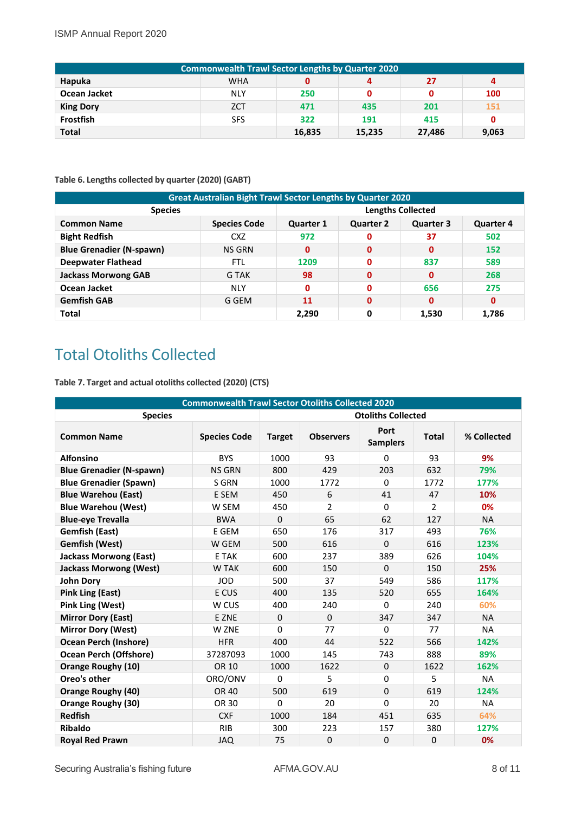#### ISMP Annual Report 2020

| <b>Commonwealth Trawl Sector Lengths by Quarter 2020</b> |            |        |        |        |       |  |  |  |  |
|----------------------------------------------------------|------------|--------|--------|--------|-------|--|--|--|--|
| Hapuka                                                   | <b>WHA</b> | 0      |        | 27     | 4     |  |  |  |  |
| Ocean Jacket                                             | <b>NLY</b> | 250    | 0      |        | 100   |  |  |  |  |
| <b>King Dory</b>                                         | <b>ZCT</b> | 471    | 435    | 201    | 151   |  |  |  |  |
| Frostfish                                                | <b>SFS</b> | 322    | 191    | 415    | 0     |  |  |  |  |
| <b>Total</b>                                             |            | 16,835 | 15,235 | 27,486 | 9,063 |  |  |  |  |

#### <span id="page-7-1"></span>**Table 6. Lengths collected by quarter (2020) (GABT)**

| <b>Great Australian Bight Trawl Sector Lengths by Quarter 2020</b> |                          |                  |                  |                  |                  |  |  |  |  |
|--------------------------------------------------------------------|--------------------------|------------------|------------------|------------------|------------------|--|--|--|--|
| <b>Species</b>                                                     | <b>Lengths Collected</b> |                  |                  |                  |                  |  |  |  |  |
| <b>Common Name</b>                                                 | <b>Species Code</b>      | <b>Quarter 1</b> | <b>Quarter 2</b> | <b>Quarter 3</b> | <b>Quarter 4</b> |  |  |  |  |
| <b>Bight Redfish</b>                                               | <b>CXZ</b>               | 972              | 0                | 37               | 502              |  |  |  |  |
| <b>Blue Grenadier (N-spawn)</b>                                    | <b>NS GRN</b>            | 0                | $\mathbf{0}$     | $\mathbf{0}$     | 152              |  |  |  |  |
| <b>Deepwater Flathead</b>                                          | <b>FTL</b>               | 1209             | 0                | 837              | 589              |  |  |  |  |
| <b>Jackass Morwong GAB</b>                                         | G TAK                    | 98               | $\mathbf{0}$     | 0                | 268              |  |  |  |  |
| Ocean Jacket                                                       | <b>NLY</b>               | 0                | 0                | 656              | 275              |  |  |  |  |
| <b>Gemfish GAB</b>                                                 | G GEM                    | 11               | 0                | $\mathbf{0}$     | $\mathbf{0}$     |  |  |  |  |
| <b>Total</b>                                                       |                          | 2,290            | 0                | 1,530            | 1,786            |  |  |  |  |

### <span id="page-7-0"></span>Total Otoliths Collected

<span id="page-7-2"></span>**Table 7. Target and actual otoliths collected (2020) (CTS)**

| <b>Commonwealth Trawl Sector Otoliths Collected 2020</b> |                     |               |                  |                           |              |             |  |
|----------------------------------------------------------|---------------------|---------------|------------------|---------------------------|--------------|-------------|--|
| <b>Species</b>                                           |                     |               |                  | <b>Otoliths Collected</b> |              |             |  |
| <b>Common Name</b>                                       | <b>Species Code</b> | <b>Target</b> | <b>Observers</b> | Port<br><b>Samplers</b>   | <b>Total</b> | % Collected |  |
| <b>Alfonsino</b>                                         | <b>BYS</b>          | 1000          | 93               | 0                         | 93           | 9%          |  |
| <b>Blue Grenadier (N-spawn)</b>                          | <b>NS GRN</b>       | 800           | 429              | 203                       | 632          | 79%         |  |
| <b>Blue Grenadier (Spawn)</b>                            | S GRN               | 1000          | 1772             | $\Omega$                  | 1772         | 177%        |  |
| <b>Blue Warehou (East)</b>                               | E SEM               | 450           | 6                | 41                        | 47           | 10%         |  |
| <b>Blue Warehou (West)</b>                               | W SEM               | 450           | 2                | $\Omega$                  | 2            | 0%          |  |
| <b>Blue-eye Trevalla</b>                                 | <b>BWA</b>          | $\Omega$      | 65               | 62                        | 127          | <b>NA</b>   |  |
| <b>Gemfish (East)</b>                                    | E GEM               | 650           | 176              | 317                       | 493          | 76%         |  |
| <b>Gemfish (West)</b>                                    | W GEM               | 500           | 616              | $\Omega$                  | 616          | 123%        |  |
| <b>Jackass Morwong (East)</b>                            | E TAK               | 600           | 237              | 389                       | 626          | 104%        |  |
| <b>Jackass Morwong (West)</b>                            | <b>W TAK</b>        | 600           | 150              | $\Omega$                  | 150          | 25%         |  |
| <b>John Dory</b>                                         | <b>JOD</b>          | 500           | 37               | 549                       | 586          | 117%        |  |
| <b>Pink Ling (East)</b>                                  | E CUS               | 400           | 135              | 520                       | 655          | 164%        |  |
| <b>Pink Ling (West)</b>                                  | W CUS               | 400           | 240              | $\Omega$                  | 240          | 60%         |  |
| <b>Mirror Dory (East)</b>                                | E ZNE               | $\mathbf 0$   | $\Omega$         | 347                       | 347          | <b>NA</b>   |  |
| <b>Mirror Dory (West)</b>                                | W ZNE               | 0             | 77               | 0                         | 77           | <b>NA</b>   |  |
| <b>Ocean Perch (Inshore)</b>                             | <b>HFR</b>          | 400           | 44               | 522                       | 566          | 142%        |  |
| <b>Ocean Perch (Offshore)</b>                            | 37287093            | 1000          | 145              | 743                       | 888          | 89%         |  |
| <b>Orange Roughy (10)</b>                                | OR 10               | 1000          | 1622             | $\mathbf 0$               | 1622         | 162%        |  |
| Oreo's other                                             | ORO/ONV             | $\Omega$      | 5                | $\Omega$                  | 5            | <b>NA</b>   |  |
| Orange Roughy (40)                                       | <b>OR 40</b>        | 500           | 619              | 0                         | 619          | 124%        |  |
| Orange Roughy (30)                                       | OR 30               | 0             | 20               | 0                         | 20           | <b>NA</b>   |  |
| <b>Redfish</b>                                           | <b>CXF</b>          | 1000          | 184              | 451                       | 635          | 64%         |  |
| <b>Ribaldo</b>                                           | <b>RIB</b>          | 300           | 223              | 157                       | 380          | 127%        |  |
| <b>Royal Red Prawn</b>                                   | <b>JAQ</b>          | 75            | $\mathbf 0$      | $\mathbf 0$               | $\Omega$     | 0%          |  |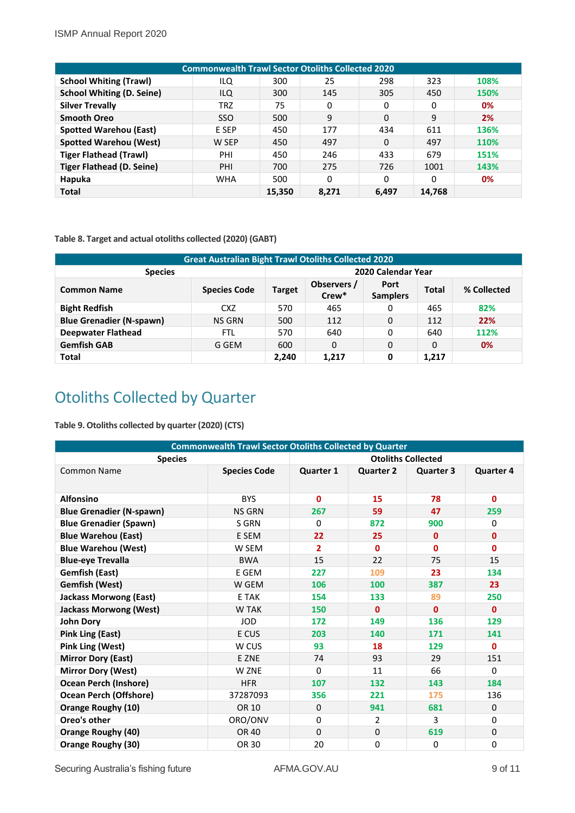| <b>Commonwealth Trawl Sector Otoliths Collected 2020</b> |            |        |       |       |        |      |  |  |  |  |
|----------------------------------------------------------|------------|--------|-------|-------|--------|------|--|--|--|--|
| <b>School Whiting (Trawl)</b>                            | ILQ        | 300    | 25    | 298   | 323    | 108% |  |  |  |  |
| <b>School Whiting (D. Seine)</b>                         | ILQ        | 300    | 145   | 305   | 450    | 150% |  |  |  |  |
| <b>Silver Trevally</b>                                   | <b>TRZ</b> | 75     | 0     | 0     | 0      | 0%   |  |  |  |  |
| <b>Smooth Oreo</b>                                       | <b>SSO</b> | 500    | 9     | 0     | 9      | 2%   |  |  |  |  |
| <b>Spotted Warehou (East)</b>                            | E SEP      | 450    | 177   | 434   | 611    | 136% |  |  |  |  |
| <b>Spotted Warehou (West)</b>                            | W SEP      | 450    | 497   | 0     | 497    | 110% |  |  |  |  |
| <b>Tiger Flathead (Trawl)</b>                            | PHI        | 450    | 246   | 433   | 679    | 151% |  |  |  |  |
| <b>Tiger Flathead (D. Seine)</b>                         | PHI        | 700    | 275   | 726   | 1001   | 143% |  |  |  |  |
| Hapuka                                                   | <b>WHA</b> | 500    | 0     | 0     | 0      | 0%   |  |  |  |  |
| <b>Total</b>                                             |            | 15,350 | 8,271 | 6,497 | 14,768 |      |  |  |  |  |

#### <span id="page-8-1"></span>**Table 8. Target and actual otoliths collected (2020) (GABT)**

| <b>Great Australian Bight Trawl Otoliths Collected 2020</b> |                     |                    |                      |                         |              |             |  |
|-------------------------------------------------------------|---------------------|--------------------|----------------------|-------------------------|--------------|-------------|--|
| <b>Species</b>                                              |                     | 2020 Calendar Year |                      |                         |              |             |  |
| <b>Common Name</b>                                          | <b>Species Code</b> | <b>Target</b>      | Observers /<br>Crew* | Port<br><b>Samplers</b> | <b>Total</b> | % Collected |  |
| <b>Bight Redfish</b>                                        | CXZ                 | 570                | 465                  | 0                       | 465          | 82%         |  |
| <b>Blue Grenadier (N-spawn)</b>                             | <b>NS GRN</b>       | 500                | 112                  | 0                       | 112          | 22%         |  |
| <b>Deepwater Flathead</b>                                   | FTL                 | 570                | 640                  | 0                       | 640          | 112%        |  |
| <b>Gemfish GAB</b>                                          | G GEM               | 600                | 0                    | 0                       | 0            | 0%          |  |
| <b>Total</b>                                                |                     | 2,240              | 1,217                | 0                       | 1,217        |             |  |

### <span id="page-8-0"></span>Otoliths Collected by Quarter

<span id="page-8-2"></span>**Table 9. Otoliths collected by quarter (2020) (CTS)**

| <b>Commonwealth Trawl Sector Otoliths Collected by Quarter</b> |                           |                  |                  |                  |                  |  |
|----------------------------------------------------------------|---------------------------|------------------|------------------|------------------|------------------|--|
| <b>Species</b>                                                 | <b>Otoliths Collected</b> |                  |                  |                  |                  |  |
| <b>Common Name</b>                                             | <b>Species Code</b>       | <b>Quarter 1</b> | <b>Quarter 2</b> | <b>Quarter 3</b> | <b>Quarter 4</b> |  |
| <b>Alfonsino</b>                                               | <b>BYS</b>                | $\mathbf{0}$     | 15               | 78               | $\mathbf{0}$     |  |
|                                                                | <b>NS GRN</b>             | 267              | 59               | 47               | 259              |  |
| <b>Blue Grenadier (N-spawn)</b>                                |                           |                  |                  |                  |                  |  |
| <b>Blue Grenadier (Spawn)</b>                                  | S GRN                     | 0                | 872              | 900              | 0                |  |
| <b>Blue Warehou (East)</b>                                     | E SEM                     | 22               | 25               | $\mathbf{0}$     | $\mathbf 0$      |  |
| <b>Blue Warehou (West)</b>                                     | W SEM                     | $\overline{2}$   | $\mathbf{0}$     | $\mathbf{0}$     | $\mathbf{0}$     |  |
| <b>Blue-eye Trevalla</b>                                       | <b>BWA</b>                | 15               | 22               | 75               | 15               |  |
| <b>Gemfish (East)</b>                                          | E GEM                     | 227              | 109              | 23               | 134              |  |
| <b>Gemfish (West)</b>                                          | W GEM                     | 106              | 100              | 387              | 23               |  |
| <b>Jackass Morwong (East)</b>                                  | E TAK                     | 154              | 133              | 89               | 250              |  |
| <b>Jackass Morwong (West)</b>                                  | <b>W TAK</b>              | 150              | $\mathbf{0}$     | 0                | $\mathbf{0}$     |  |
| <b>John Dory</b>                                               | <b>JOD</b>                | 172              | 149              | 136              | 129              |  |
| <b>Pink Ling (East)</b>                                        | E CUS                     | 203              | 140              | 171              | 141              |  |
| <b>Pink Ling (West)</b>                                        | W CUS                     | 93               | 18               | 129              | $\mathbf{0}$     |  |
| <b>Mirror Dory (East)</b>                                      | E ZNE                     | 74               | 93               | 29               | 151              |  |
| <b>Mirror Dory (West)</b>                                      | W ZNE                     | $\Omega$         | 11               | 66               | $\mathbf{0}$     |  |
| <b>Ocean Perch (Inshore)</b>                                   | <b>HFR</b>                | 107              | 132              | 143              | 184              |  |
| <b>Ocean Perch (Offshore)</b>                                  | 37287093                  | 356              | 221              | 175              | 136              |  |
| <b>Orange Roughy (10)</b>                                      | OR 10                     | 0                | 941              | 681              | 0                |  |
| Oreo's other                                                   | ORO/ONV                   | 0                | $\overline{2}$   | 3                | 0                |  |
| <b>Orange Roughy (40)</b>                                      | <b>OR 40</b>              | 0                | $\mathbf 0$      | 619              | 0                |  |
| <b>Orange Roughy (30)</b>                                      | OR 30                     | 20               | $\mathbf 0$      | 0                | 0                |  |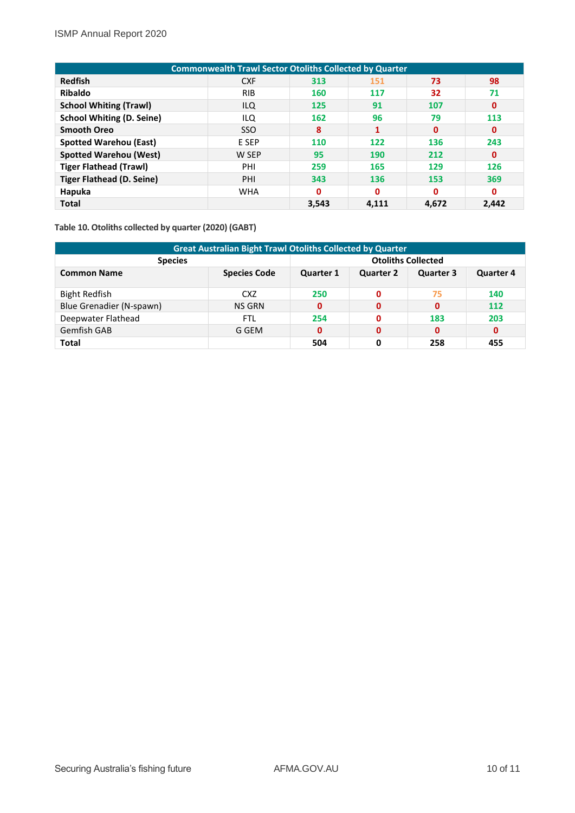| <b>Commonwealth Trawl Sector Otoliths Collected by Quarter</b> |            |              |       |             |              |  |
|----------------------------------------------------------------|------------|--------------|-------|-------------|--------------|--|
| <b>Redfish</b>                                                 | <b>CXF</b> | 313          | 151   | 73          | 98           |  |
| <b>Ribaldo</b>                                                 | <b>RIB</b> | 160          | 117   | 32          | 71           |  |
| <b>School Whiting (Trawl)</b>                                  | ILQ        | 125          | 91    | 107         | $\mathbf 0$  |  |
| <b>School Whiting (D. Seine)</b>                               | ILQ        | 162          | 96    | 79          | 113          |  |
| <b>Smooth Oreo</b>                                             | <b>SSO</b> | 8            |       | $\mathbf 0$ | $\mathbf 0$  |  |
| <b>Spotted Warehou (East)</b>                                  | E SEP      | 110          | 122   | 136         | 243          |  |
| <b>Spotted Warehou (West)</b>                                  | W SEP      | 95           | 190   | 212         | $\mathbf 0$  |  |
| <b>Tiger Flathead (Trawl)</b>                                  | PHI        | 259          | 165   | 129         | 126          |  |
| <b>Tiger Flathead (D. Seine)</b>                               | PHI        | 343          | 136   | 153         | 369          |  |
| Hapuka                                                         | <b>WHA</b> | $\mathbf{0}$ | 0     | 0           | $\mathbf{0}$ |  |
| <b>Total</b>                                                   |            | 3,543        | 4,111 | 4,672       | 2,442        |  |

<span id="page-9-0"></span>**Table 10. Otoliths collected by quarter (2020) (GABT)**

| <b>Great Australian Bight Trawl Otoliths Collected by Quarter</b> |                     |                           |                  |                  |                  |  |
|-------------------------------------------------------------------|---------------------|---------------------------|------------------|------------------|------------------|--|
| <b>Species</b>                                                    |                     | <b>Otoliths Collected</b> |                  |                  |                  |  |
| <b>Common Name</b>                                                | <b>Species Code</b> | <b>Quarter 1</b>          | <b>Quarter 2</b> | <b>Quarter 3</b> | <b>Quarter 4</b> |  |
| <b>Bight Redfish</b>                                              | CXZ                 | 250                       | O                | 75               | 140              |  |
| Blue Grenadier (N-spawn)                                          | NS GRN              | 0                         | 0                | $\mathbf{0}$     | 112              |  |
| Deepwater Flathead                                                | FTL                 | 254                       |                  | 183              | 203              |  |
| <b>Gemfish GAB</b>                                                | G GEM               | 0                         | 0                | 0                | 0                |  |
| Total                                                             |                     | 504                       | 0                | 258              | 455              |  |